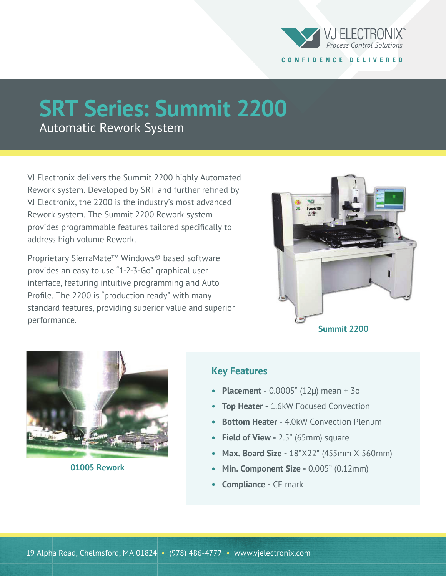

## **SRT Series: Summit 2200**

Automatic Rework System

VJ Electronix delivers the Summit 2200 highly Automated Rework system. Developed by SRT and further refined by VJ Electronix, the 2200 is the industry's most advanced Rework system. The Summit 2200 Rework system provides programmable features tailored specifically to address high volume Rework.

Proprietary SierraMate™ Windows® based software provides an easy to use "1-2-3-Go" graphical user interface, featuring intuitive programming and Auto Profile. The 2200 is "production ready" with many standard features, providing superior value and superior performance.





**01005 Rework**

## **Key Features**

- **Placement** 0.0005" (12µ) mean + 3o
- **Top Heater** 1.6kW Focused Convection
- **Bottom Heater** 4.0kW Convection Plenum
- **Field of View** 2.5" (65mm) square
- **Max. Board Size** 18"X22" (455mm X 560mm)
- **Min. Component Size 0.005" (0.12mm)**
- **Compliance** CE mark